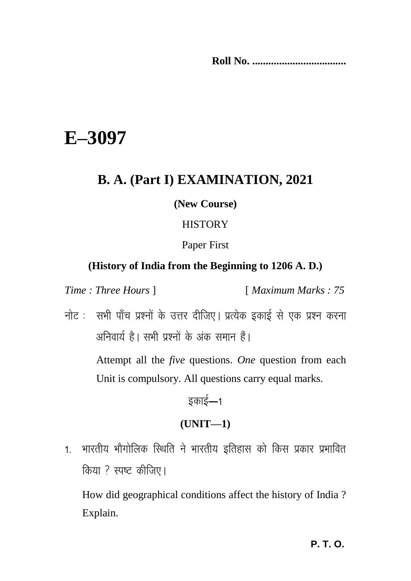**Roll No. ...................................**

# **E–3097**

# **B. A. (Part I) EXAMINATION, 2021**

#### **(New Course)**

#### **HISTORY**

Paper First

#### **(History of India from the Beginning to 1206 A. D.)**

*Time : Three Hours* ] [ *Maximum Marks : 75*

नोट : सभी पाँच प्रश्नों के उत्तर दीजिए। प्रत्येक इकाई से एक प्रश्न करना अनिवार्य है। सभी पश्नों के अंक समान हैं।

> Attempt all the *five* questions. *One* question from each Unit is compulsory. All questions carry equal marks.

> > डकाई $-1$

## **(UNIT—1)**

1. भारतीय भौगोलिक स्थिति ने भारतीय इतिहास को किस प्रकार प्रभावित किया ? स्पष्ट कीजिए।

How did geographical conditions affect the history of India ? Explain.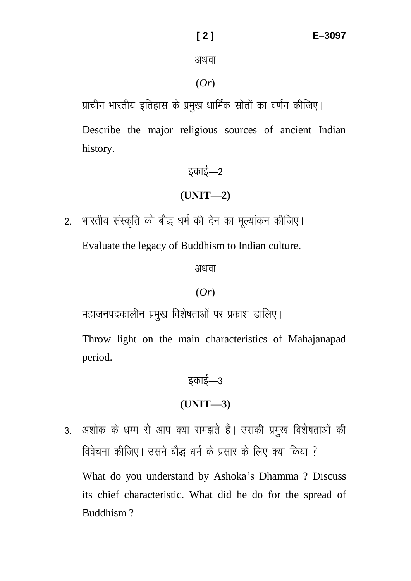अथवा

#### (*Or*)

प्राचीन भारतीय इतिहास के प्रमख धार्मिक स्रोतों का वर्णन कीजिए।

Describe the major religious sources of ancient Indian history.

# डकाई $-2$ **(UNIT—2)**

2. भारतीय संस्कृति को बौद्ध धर्म की देन का मल्यांकन कीजिए।

Evaluate the legacy of Buddhism to Indian culture.

अथवा

#### (*Or*)

महाजनपदकालीन प्रमुख विशेषताओं पर प्रकाश डालिए।

Throw light on the main characteristics of Mahajanapad period.

# डकाई $-3$

## **(UNIT—3)**

3. अशोक के धम्म से आप क्या समझते हैं। उसकी प्रमुख विशेषताओं की विवेचना कीजिए। उसने बौद्ध धर्म के प्रसार के लिए क्या किया ? What do you understand by Ashoka's Dhamma ? Discuss its chief characteristic. What did he do for the spread of Buddhism ?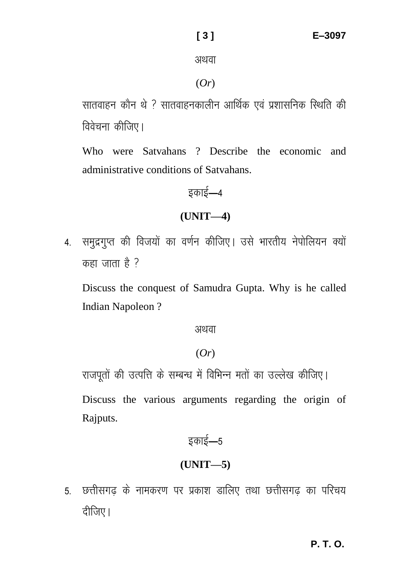#### अथवा

#### (*Or*)

सातवाहन कौन थे ? सातवाहनकालीन आर्थिक एवं प्रशासनिक स्थिति की विवेचना कीजिए।

Who were Satvahans ? Describe the economic and administrative conditions of Satvahans.

# इकाई—4

# **(UNIT—4)**

4. समुद्रगुप्त की विजयों का वर्णन कीजिए। उसे भारतीय नेपोलियन क्यों  $\overline{a}$ कहा जाता है ?

Discuss the conquest of Samudra Gupta. Why is he called Indian Napoleon ?

#### अथवा

## (*Or*)

राजपतों की उत्पत्ति के सम्बन्ध में विभिन्न मतों का उल्लेख कीजिए।

Discuss the various arguments regarding the origin of Rajputs.

# इकाई—5

# **(UNIT—5)**

5. छत्तीसगढ के नामकरण पर प्रकाश डालिए तथा छत्तीसगढ का परिचय दीजिए।